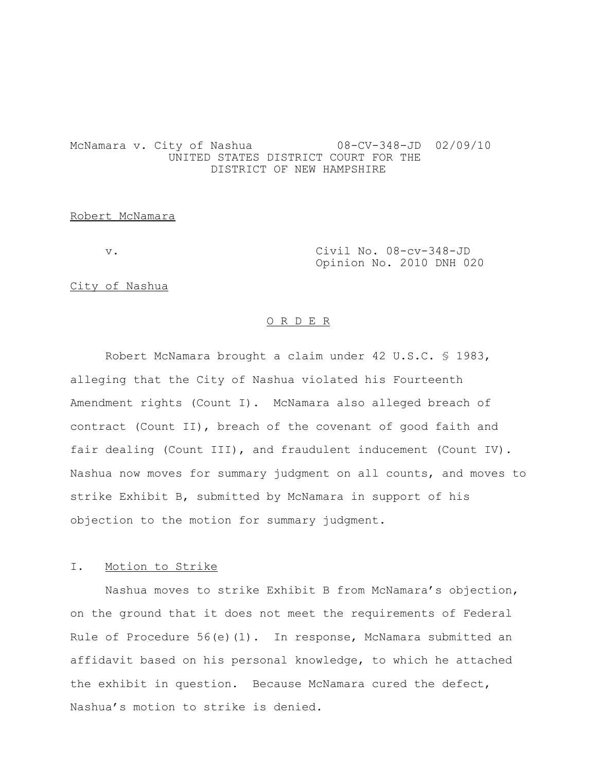# McNamara v. City of Nashua 08-CV-348-JD 02/09/10 UNITED STATES DISTRICT COURT FOR THE DISTRICT OF NEW HAMPSHIRE

### Robert McNamara

v. Civil No. 08-cv-348-JD Opinion No. 2010 DNH 020

City of Nashua

#### O R D E R

Robert McNamara brought a claim under 42 U.S.C. § 1983, alleging that the City of Nashua violated his Fourteenth Amendment rights (Count I). McNamara also alleged breach of contract (Count II), breach of the covenant of good faith and fair dealing (Count III), and fraudulent inducement (Count IV). Nashua now moves for summary judgment on all counts, and moves to strike Exhibit B, submitted by McNamara in support of his objection to the motion for summary judgment.

### I. Motion to Strike

Nashua moves to strike Exhibit B from McNamara's objection, on the ground that it does not meet the requirements of Federal Rule of Procedure  $56(e)(1)$ . In response, McNamara submitted an affidavit based on his personal knowledge, to which he attached the exhibit in question. Because McNamara cured the defect, Nashua's motion to strike is denied.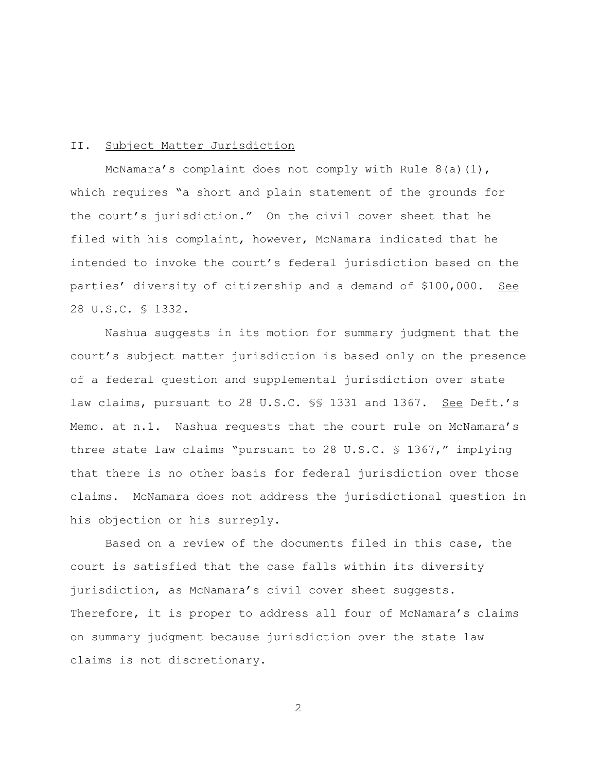### II. Subject Matter Jurisdiction

McNamara's complaint does not comply with Rule  $8(a)(1)$ , which requires "a short and plain statement of the grounds for the court's jurisdiction." On the civil cover sheet that he filed with his complaint, however, McNamara indicated that he intended to invoke the court's federal jurisdiction based on the parties' diversity of citizenship and a demand of \$100,000. See 28 U.S.C. § 1332.

Nashua suggests in its motion for summary judgment that the court's subject matter jurisdiction is based only on the presence of a federal question and supplemental jurisdiction over state law claims, pursuant to 28 U.S.C. §§ 1331 and 1367. See Deft.'s Memo. at n.1. Nashua requests that the court rule on McNamara's three state law claims "pursuant to 28 U.S.C. § 1367," implying that there is no other basis for federal jurisdiction over those claims. McNamara does not address the jurisdictional question in his objection or his surreply.

Based on a review of the documents filed in this case, the court is satisfied that the case falls within its diversity jurisdiction, as McNamara's civil cover sheet suggests. Therefore, it is proper to address all four of McNamara's claims on summary judgment because jurisdiction over the state law claims is not discretionary.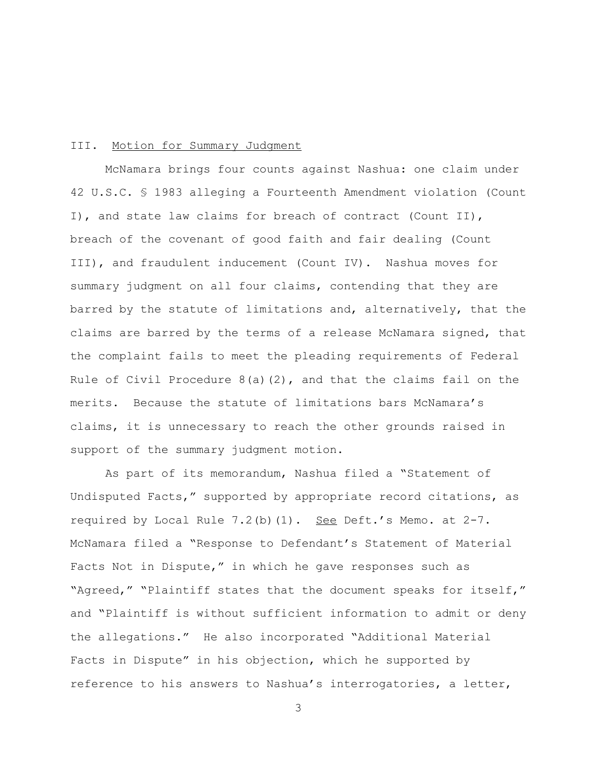### III. Motion for Summary Judgment

McNamara brings four counts against Nashua: one claim under 42 U.S.C. § 1983 alleging a Fourteenth Amendment violation (Count I), and state law claims for breach of contract (Count II), breach of the covenant of good faith and fair dealing (Count III), and fraudulent inducement (Count IV). Nashua moves for summary judgment on all four claims, contending that they are barred by the statute of limitations and, alternatively, that the claims are barred by the terms of a release McNamara signed, that the complaint fails to meet the pleading requirements of Federal Rule of Civil Procedure  $8(a)(2)$ , and that the claims fail on the merits. Because the statute of limitations bars McNamara's claims, it is unnecessary to reach the other grounds raised in support of the summary judgment motion.

As part of its memorandum, Nashua filed a "Statement of Undisputed Facts," supported by appropriate record citations, as required by Local Rule  $7.2$  (b)  $(1)$ . See Deft.'s Memo. at  $2-7$ . McNamara filed a "Response to Defendant's Statement of Material Facts Not in Dispute," in which he gave responses such as "Agreed," "Plaintiff states that the document speaks for itself," and "Plaintiff is without sufficient information to admit or deny the allegations." He also incorporated "Additional Material Facts in Dispute" in his objection, which he supported by reference to his answers to Nashua's interrogatories, a letter,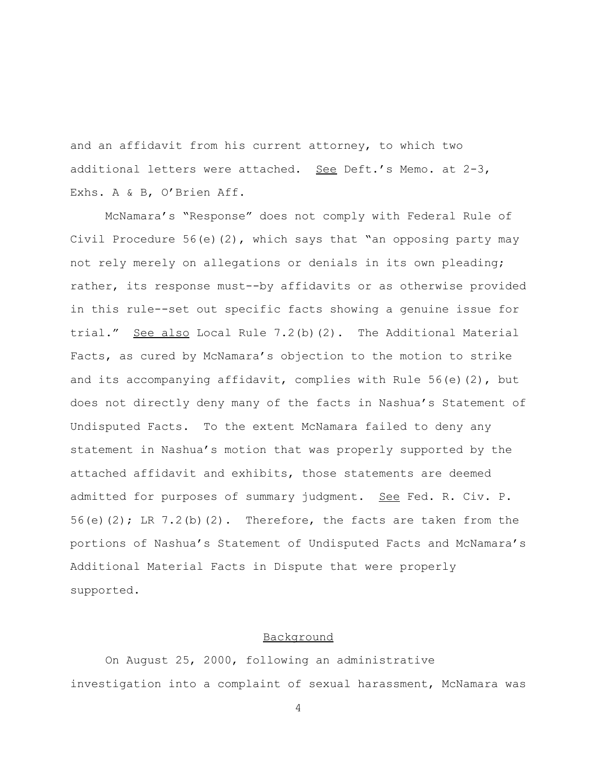and an affidavit from his current attorney, to which two additional letters were attached. See Deft.'s Memo. at 2-3, Exhs. A & B, O'Brien Aff.

McNamara's "Response" does not comply with Federal Rule of Civil Procedure 56(e)(2), which says that "an opposing party may not rely merely on allegations or denials in its own pleading; rather, its response must--by affidavits or as otherwise provided in this rule--set out specific facts showing a genuine issue for trial." See also Local Rule 7.2(b)(2). The Additional Material Facts, as cured by McNamara's objection to the motion to strike and its accompanying affidavit, complies with Rule 56(e)(2), but does not directly deny many of the facts in Nashua's Statement of Undisputed Facts. To the extent McNamara failed to deny any statement in Nashua's motion that was properly supported by the attached affidavit and exhibits, those statements are deemed admitted for purposes of summary judgment. See Fed. R. Civ. P. 56(e)(2); LR  $7.2$ (b)(2). Therefore, the facts are taken from the portions of Nashua's Statement of Undisputed Facts and McNamara's Additional Material Facts in Dispute that were properly supported.

# Background

On August 25, 2000, following an administrative investigation into a complaint of sexual harassment, McNamara was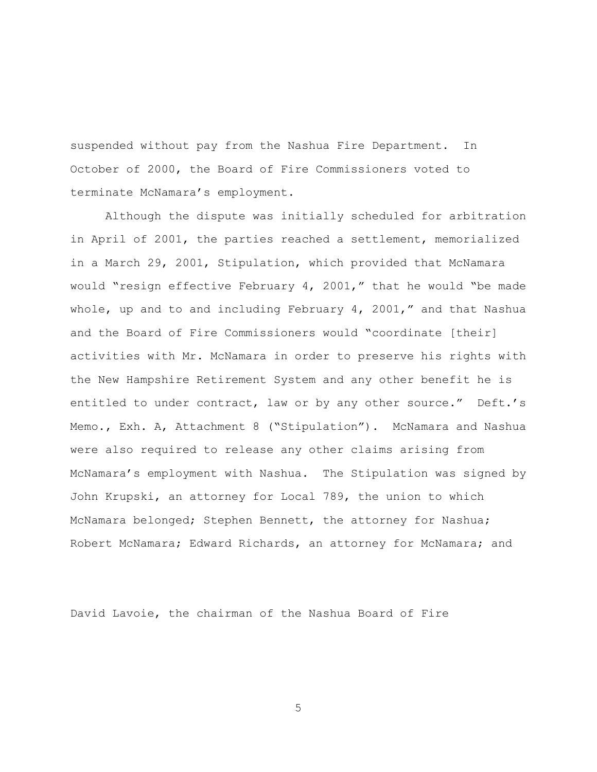suspended without pay from the Nashua Fire Department. In October of 2000, the Board of Fire Commissioners voted to terminate McNamara's employment.

Although the dispute was initially scheduled for arbitration in April of 2001, the parties reached a settlement, memorialized in a March 29, 2001, Stipulation, which provided that McNamara would "resign effective February 4, 2001," that he would "be made whole, up and to and including February  $4$ , 2001," and that Nashua and the Board of Fire Commissioners would "coordinate [their] activities with Mr. McNamara in order to preserve his rights with the New Hampshire Retirement System and any other benefit he is entitled to under contract, law or by any other source." Deft.'s Memo., Exh. A, Attachment 8 ("Stipulation"). McNamara and Nashua were also required to release any other claims arising from McNamara's employment with Nashua. The Stipulation was signed by John Krupski, an attorney for Local 789, the union to which McNamara belonged; Stephen Bennett, the attorney for Nashua; Robert McNamara; Edward Richards, an attorney for McNamara; and

David Lavoie, the chairman of the Nashua Board of Fire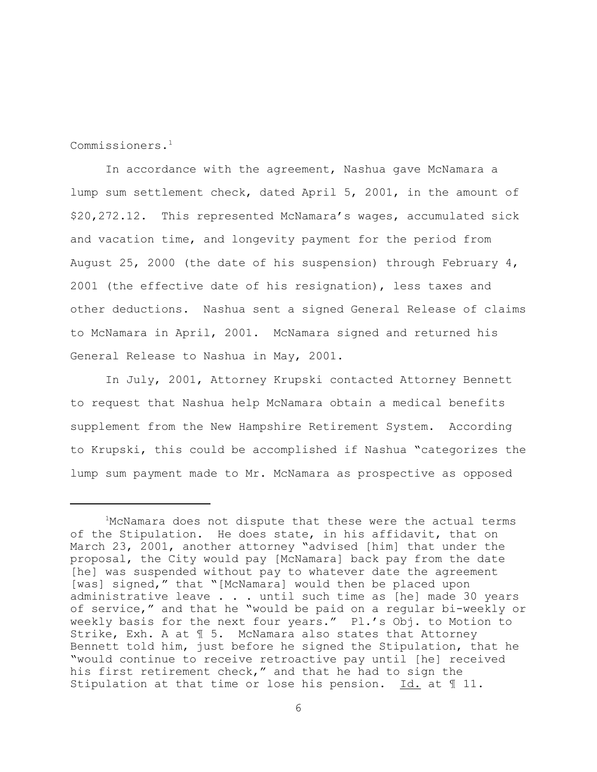Commissioners.1

In accordance with the agreement, Nashua gave McNamara a lump sum settlement check, dated April 5, 2001, in the amount of \$20,272.12. This represented McNamara's wages, accumulated sick and vacation time, and longevity payment for the period from August 25, 2000 (the date of his suspension) through February  $4$ , 2001 (the effective date of his resignation), less taxes and other deductions. Nashua sent a signed General Release of claims to McNamara in April, 2001. McNamara signed and returned his General Release to Nashua in May, 2001.

In July, 2001, Attorney Krupski contacted Attorney Bennett to request that Nashua help McNamara obtain a medical benefits supplement from the New Hampshire Retirement System. According to Krupski, this could be accomplished if Nashua "categorizes the lump sum payment made to Mr. McNamara as prospective as opposed

<sup>&</sup>lt;sup>1</sup>McNamara does not dispute that these were the actual terms of the Stipulation. He does state, in his affidavit, that on March 23, 2001, another attorney "advised [him] that under the proposal, the City would pay [McNamara] back pay from the date [he] was suspended without pay to whatever date the agreement [was] signed," that "[McNamara] would then be placed upon administrative leave . . . until such time as [he] made 30 years of service," and that he "would be paid on a regular bi-weekly or weekly basis for the next four years." Pl.'s Obj. to Motion to Strike, Exh. A at ¶ 5. McNamara also states that Attorney Bennett told him, just before he signed the Stipulation, that he "would continue to receive retroactive pay until [he] received his first retirement check," and that he had to sign the Stipulation at that time or lose his pension. Id. at ¶ 11.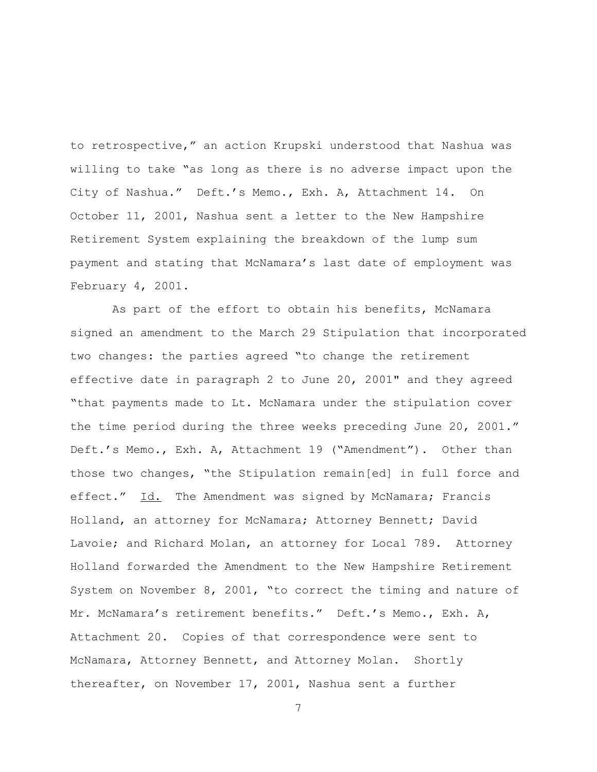to retrospective," an action Krupski understood that Nashua was willing to take "as long as there is no adverse impact upon the City of Nashua." Deft.'s Memo., Exh. A, Attachment 14. On October 11, 2001, Nashua sent a letter to the New Hampshire Retirement System explaining the breakdown of the lump sum payment and stating that McNamara's last date of employment was February 4, 2001.

 As part of the effort to obtain his benefits, McNamara signed an amendment to the March 29 Stipulation that incorporated two changes: the parties agreed "to change the retirement effective date in paragraph 2 to June 20, 2001" and they agreed "that payments made to Lt. McNamara under the stipulation cover the time period during the three weeks preceding June 20, 2001." Deft.'s Memo., Exh. A, Attachment 19 ("Amendment"). Other than those two changes, "the Stipulation remain[ed] in full force and effect." Id. The Amendment was signed by McNamara; Francis Holland, an attorney for McNamara; Attorney Bennett; David Lavoie; and Richard Molan, an attorney for Local 789. Attorney Holland forwarded the Amendment to the New Hampshire Retirement System on November 8, 2001, "to correct the timing and nature of Mr. McNamara's retirement benefits." Deft.'s Memo., Exh. A, Attachment 20. Copies of that correspondence were sent to McNamara, Attorney Bennett, and Attorney Molan. Shortly thereafter, on November 17, 2001, Nashua sent a further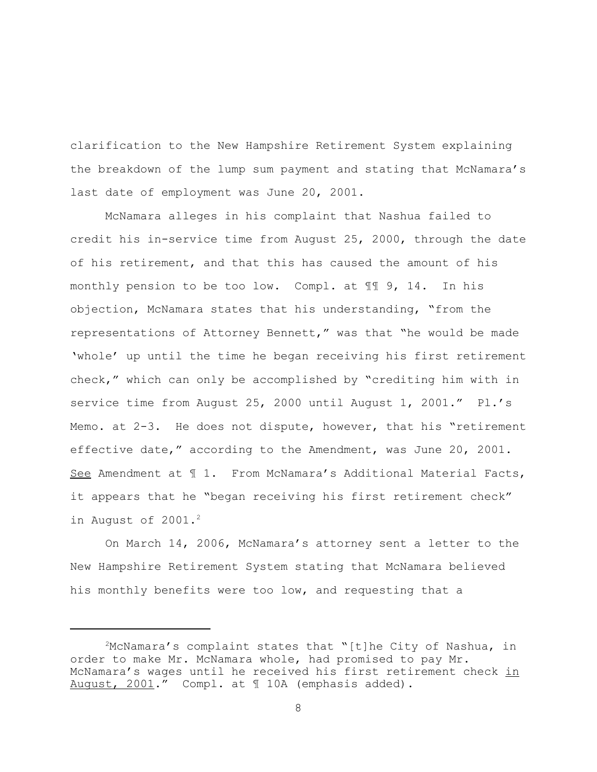clarification to the New Hampshire Retirement System explaining the breakdown of the lump sum payment and stating that McNamara's last date of employment was June 20, 2001.

McNamara alleges in his complaint that Nashua failed to credit his in-service time from August 25, 2000, through the date of his retirement, and that this has caused the amount of his monthly pension to be too low. Compl. at ¶¶ 9, 14. In his objection, McNamara states that his understanding, "from the representations of Attorney Bennett," was that "he would be made 'whole' up until the time he began receiving his first retirement check," which can only be accomplished by "crediting him with in service time from August 25, 2000 until August 1, 2001." Pl.'s Memo. at 2-3. He does not dispute, however, that his "retirement effective date," according to the Amendment, was June 20, 2001. See Amendment at  $\texttt{T 1.}$  From McNamara's Additional Material Facts, it appears that he "began receiving his first retirement check" in August of  $2001.^2$ 

On March 14, 2006, McNamara's attorney sent a letter to the New Hampshire Retirement System stating that McNamara believed his monthly benefits were too low, and requesting that a

 $2^{\text{MCMamara}}$ 's complaint states that "[t]he City of Nashua, in order to make Mr. McNamara whole, had promised to pay Mr. McNamara's wages until he received his first retirement check in August, 2001." Compl. at ¶ 10A (emphasis added).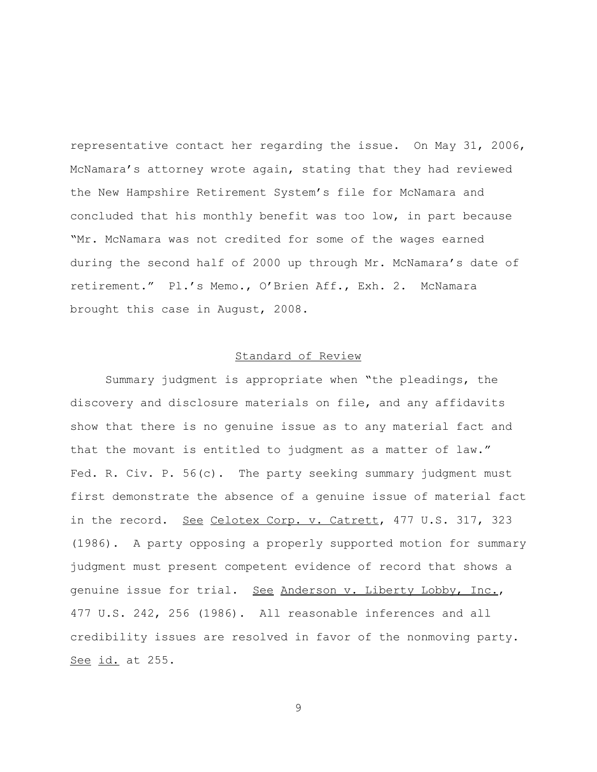representative contact her regarding the issue. On May 31, 2006, McNamara's attorney wrote again, stating that they had reviewed the New Hampshire Retirement System's file for McNamara and concluded that his monthly benefit was too low, in part because "Mr. McNamara was not credited for some of the wages earned during the second half of 2000 up through Mr. McNamara's date of retirement." Pl.'s Memo., O'Brien Aff., Exh. 2. McNamara brought this case in August, 2008.

# Standard of Review

Summary judgment is appropriate when "the pleadings, the discovery and disclosure materials on file, and any affidavits show that there is no genuine issue as to any material fact and that the movant is entitled to judgment as a matter of law." Fed. R. Civ. P.  $56(c)$ . The party seeking summary judgment must first demonstrate the absence of a genuine issue of material fact in the record. See Celotex Corp. v. Catrett, 477 U.S. 317, 323 (1986). A party opposing a properly supported motion for summary judgment must present competent evidence of record that shows a genuine issue for trial. See Anderson v. Liberty Lobby, Inc., 477 U.S. 242, 256 (1986). All reasonable inferences and all credibility issues are resolved in favor of the nonmoving party. See id. at 255.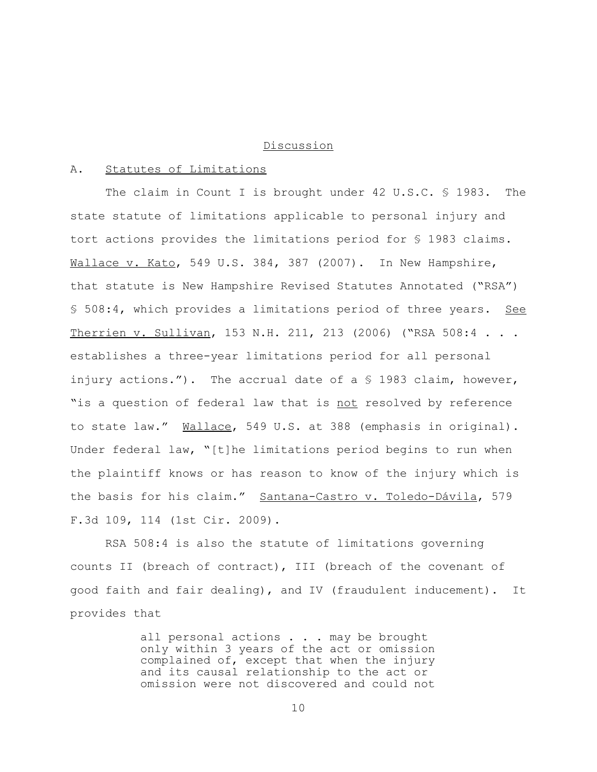#### Discussion

# A. Statutes of Limitations

The claim in Count I is brought under 42 U.S.C. § 1983. The state statute of limitations applicable to personal injury and tort actions provides the limitations period for § 1983 claims. Wallace v. Kato, 549 U.S. 384, 387 (2007). In New Hampshire, that statute is New Hampshire Revised Statutes Annotated ("RSA") § 508:4, which provides a limitations period of three years. See Therrien v. Sullivan, 153 N.H. 211, 213 (2006) ("RSA 508:4 . . . establishes a three-year limitations period for all personal injury actions."). The accrual date of a § 1983 claim, however, "is a question of federal law that is not resolved by reference to state law." Wallace, 549 U.S. at 388 (emphasis in original). Under federal law, "[t]he limitations period begins to run when the plaintiff knows or has reason to know of the injury which is the basis for his claim." Santana-Castro v. Toledo-Dávila, 579 F.3d 109, 114 (1st Cir. 2009).

RSA 508:4 is also the statute of limitations governing counts II (breach of contract), III (breach of the covenant of good faith and fair dealing), and IV (fraudulent inducement). It provides that

> all personal actions . . . may be brought only within 3 years of the act or omission complained of, except that when the injury and its causal relationship to the act or omission were not discovered and could not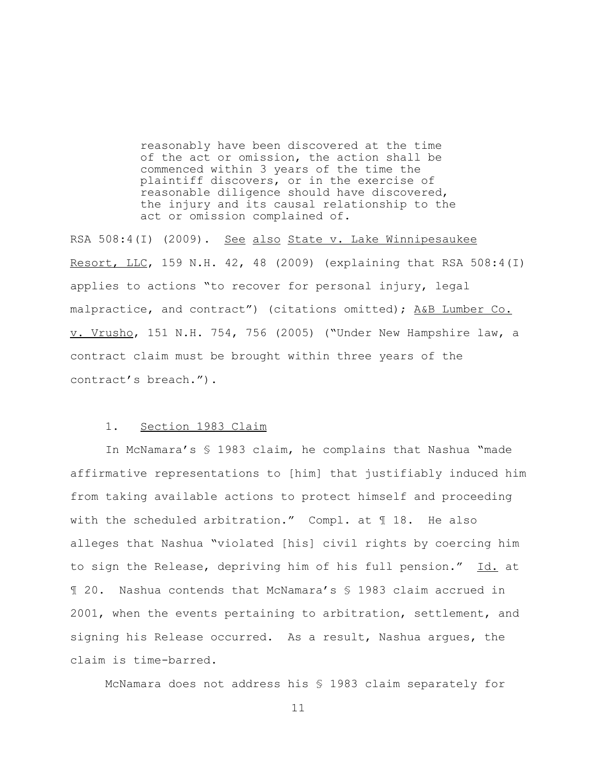reasonably have been discovered at the time of the act or omission, the action shall be commenced within 3 years of the time the plaintiff discovers, or in the exercise of reasonable diligence should have discovered, the injury and its causal relationship to the act or omission complained of.

RSA 508:4(I) (2009). See also State v. Lake Winnipesaukee Resort, LLC, 159 N.H. 42, 48 (2009) (explaining that RSA 508:4(I) applies to actions "to recover for personal injury, legal malpractice, and contract") (citations omitted); A&B Lumber Co. v. Vrusho, 151 N.H. 754, 756 (2005) ("Under New Hampshire law, a contract claim must be brought within three years of the contract's breach.").

# 1. Section 1983 Claim

In McNamara's § 1983 claim, he complains that Nashua "made affirmative representations to [him] that justifiably induced him from taking available actions to protect himself and proceeding with the scheduled arbitration." Compl. at ¶ 18. He also alleges that Nashua "violated [his] civil rights by coercing him to sign the Release, depriving him of his full pension." Id. at ¶ 20. Nashua contends that McNamara's § 1983 claim accrued in 2001, when the events pertaining to arbitration, settlement, and signing his Release occurred. As a result, Nashua argues, the claim is time-barred.

McNamara does not address his § 1983 claim separately for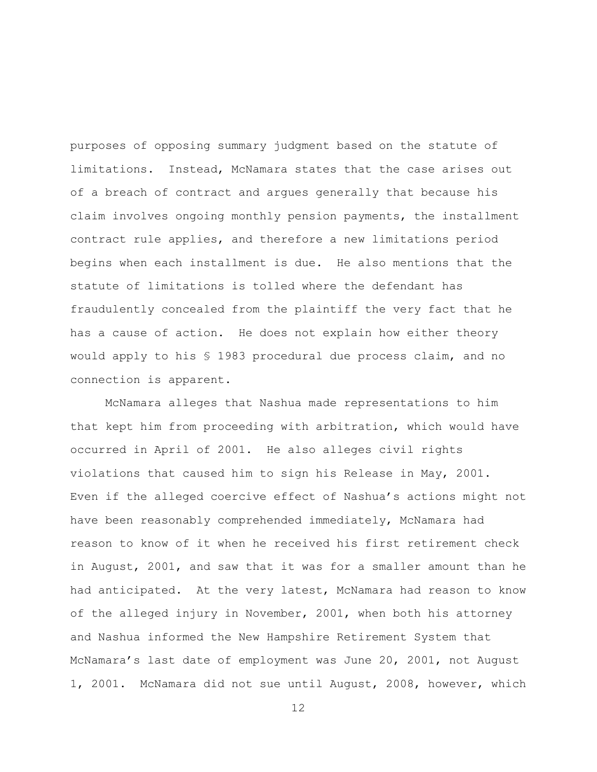purposes of opposing summary judgment based on the statute of limitations. Instead, McNamara states that the case arises out of a breach of contract and argues generally that because his claim involves ongoing monthly pension payments, the installment contract rule applies, and therefore a new limitations period begins when each installment is due. He also mentions that the statute of limitations is tolled where the defendant has fraudulently concealed from the plaintiff the very fact that he has a cause of action. He does not explain how either theory would apply to his § 1983 procedural due process claim, and no connection is apparent.

McNamara alleges that Nashua made representations to him that kept him from proceeding with arbitration, which would have occurred in April of 2001. He also alleges civil rights violations that caused him to sign his Release in May, 2001. Even if the alleged coercive effect of Nashua's actions might not have been reasonably comprehended immediately, McNamara had reason to know of it when he received his first retirement check in August, 2001, and saw that it was for a smaller amount than he had anticipated. At the very latest, McNamara had reason to know of the alleged injury in November, 2001, when both his attorney and Nashua informed the New Hampshire Retirement System that McNamara's last date of employment was June 20, 2001, not August 1, 2001. McNamara did not sue until August, 2008, however, which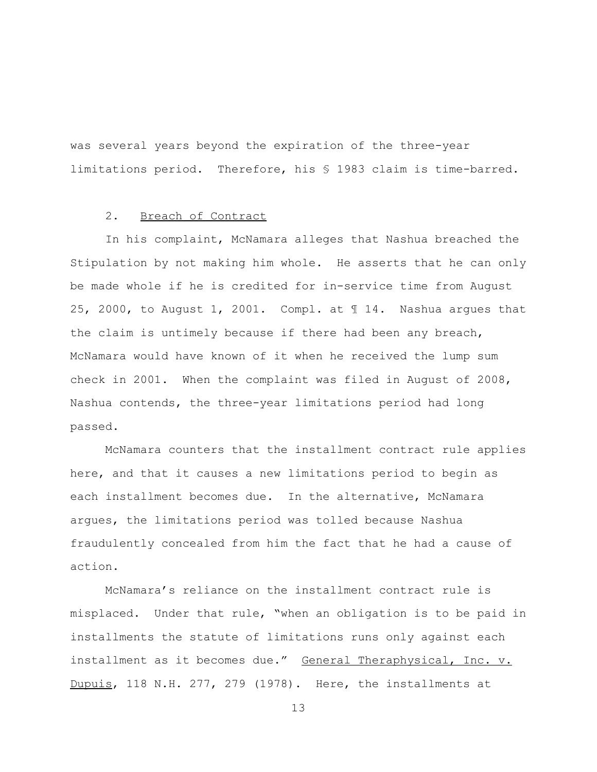was several years beyond the expiration of the three-year limitations period. Therefore, his § 1983 claim is time-barred.

# 2. Breach of Contract

In his complaint, McNamara alleges that Nashua breached the Stipulation by not making him whole. He asserts that he can only be made whole if he is credited for in-service time from August 25, 2000, to August 1, 2001. Compl. at ¶ 14. Nashua argues that the claim is untimely because if there had been any breach, McNamara would have known of it when he received the lump sum check in 2001. When the complaint was filed in August of 2008, Nashua contends, the three-year limitations period had long passed.

McNamara counters that the installment contract rule applies here, and that it causes a new limitations period to begin as each installment becomes due. In the alternative, McNamara argues, the limitations period was tolled because Nashua fraudulently concealed from him the fact that he had a cause of action.

McNamara's reliance on the installment contract rule is misplaced. Under that rule, "when an obligation is to be paid in installments the statute of limitations runs only against each installment as it becomes due." General Theraphysical, Inc. v. Dupuis, 118 N.H. 277, 279 (1978). Here, the installments at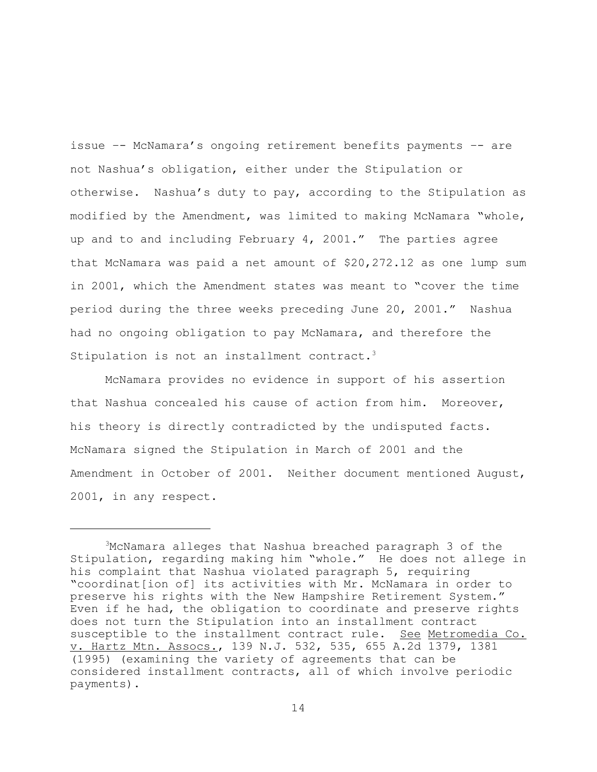issue –- McNamara's ongoing retirement benefits payments –- are not Nashua's obligation, either under the Stipulation or otherwise. Nashua's duty to pay, according to the Stipulation as modified by the Amendment, was limited to making McNamara "whole, up and to and including February 4, 2001." The parties agree that McNamara was paid a net amount of \$20,272.12 as one lump sum in 2001, which the Amendment states was meant to "cover the time period during the three weeks preceding June 20, 2001." Nashua had no ongoing obligation to pay McNamara, and therefore the Stipulation is not an installment contract.<sup>3</sup>

McNamara provides no evidence in support of his assertion that Nashua concealed his cause of action from him. Moreover, his theory is directly contradicted by the undisputed facts. McNamara signed the Stipulation in March of 2001 and the Amendment in October of 2001. Neither document mentioned August, 2001, in any respect.

<sup>3</sup>McNamara alleges that Nashua breached paragraph 3 of the Stipulation, regarding making him "whole." He does not allege in his complaint that Nashua violated paragraph 5, requiring "coordinat[ion of] its activities with Mr. McNamara in order to preserve his rights with the New Hampshire Retirement System." Even if he had, the obligation to coordinate and preserve rights does not turn the Stipulation into an installment contract susceptible to the installment contract rule. See Metromedia Co. v. Hartz Mtn. Assocs., 139 N.J. 532, 535, 655 A.2d 1379, 1381 (1995) (examining the variety of agreements that can be considered installment contracts, all of which involve periodic payments).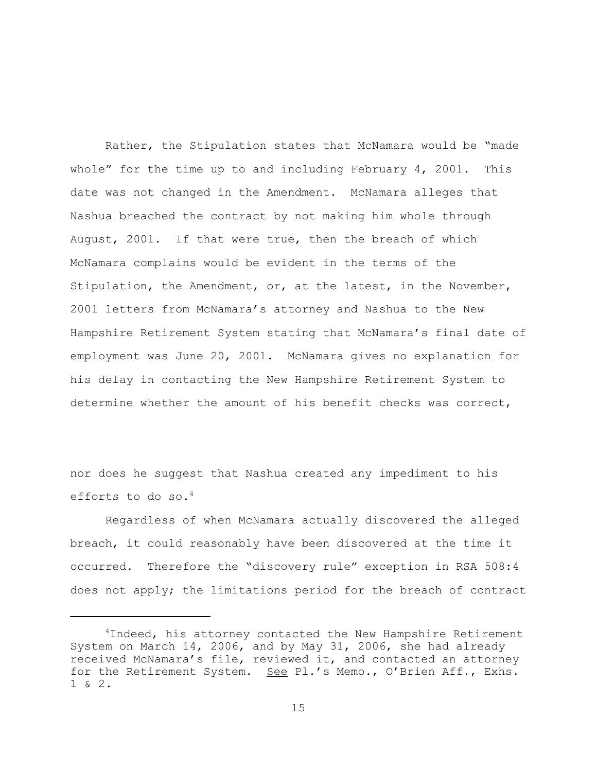Rather, the Stipulation states that McNamara would be "made whole" for the time up to and including February  $4$ , 2001. This date was not changed in the Amendment. McNamara alleges that Nashua breached the contract by not making him whole through August, 2001. If that were true, then the breach of which McNamara complains would be evident in the terms of the Stipulation, the Amendment, or, at the latest, in the November, 2001 letters from McNamara's attorney and Nashua to the New Hampshire Retirement System stating that McNamara's final date of employment was June 20, 2001. McNamara gives no explanation for his delay in contacting the New Hampshire Retirement System to determine whether the amount of his benefit checks was correct,

nor does he suggest that Nashua created any impediment to his efforts to do so.<sup>4</sup>

Regardless of when McNamara actually discovered the alleged breach, it could reasonably have been discovered at the time it occurred. Therefore the "discovery rule" exception in RSA 508:4 does not apply; the limitations period for the breach of contract

<sup>&</sup>lt;sup>4</sup>Indeed, his attorney contacted the New Hampshire Retirement System on March 14, 2006, and by May 31, 2006, she had already received McNamara's file, reviewed it, and contacted an attorney for the Retirement System. See Pl.'s Memo., O'Brien Aff., Exhs. 1 & 2.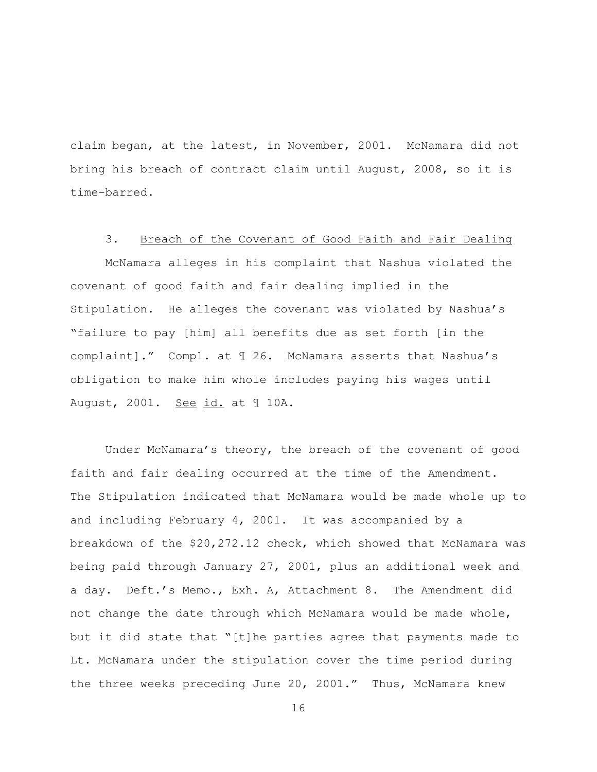claim began, at the latest, in November, 2001. McNamara did not bring his breach of contract claim until August, 2008, so it is time-barred.

### 3. Breach of the Covenant of Good Faith and Fair Dealing

McNamara alleges in his complaint that Nashua violated the covenant of good faith and fair dealing implied in the Stipulation. He alleges the covenant was violated by Nashua's "failure to pay [him] all benefits due as set forth [in the complaint]." Compl. at ¶ 26. McNamara asserts that Nashua's obligation to make him whole includes paying his wages until August, 2001. See id. at 10A.

Under McNamara's theory, the breach of the covenant of good faith and fair dealing occurred at the time of the Amendment. The Stipulation indicated that McNamara would be made whole up to and including February 4, 2001. It was accompanied by a breakdown of the \$20,272.12 check, which showed that McNamara was being paid through January 27, 2001, plus an additional week and a day. Deft.'s Memo., Exh. A, Attachment 8. The Amendment did not change the date through which McNamara would be made whole, but it did state that "[t]he parties agree that payments made to Lt. McNamara under the stipulation cover the time period during the three weeks preceding June 20, 2001." Thus, McNamara knew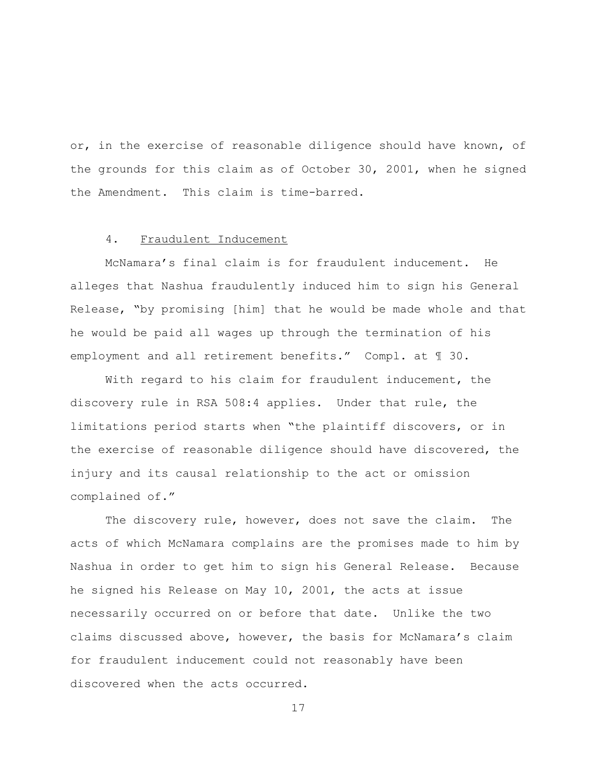or, in the exercise of reasonable diligence should have known, of the grounds for this claim as of October 30, 2001, when he signed the Amendment. This claim is time-barred.

### 4. Fraudulent Inducement

McNamara's final claim is for fraudulent inducement. He alleges that Nashua fraudulently induced him to sign his General Release, "by promising [him] that he would be made whole and that he would be paid all wages up through the termination of his employment and all retirement benefits." Compl. at ¶ 30.

With regard to his claim for fraudulent inducement, the discovery rule in RSA 508:4 applies. Under that rule, the limitations period starts when "the plaintiff discovers, or in the exercise of reasonable diligence should have discovered, the injury and its causal relationship to the act or omission complained of."

The discovery rule, however, does not save the claim. The acts of which McNamara complains are the promises made to him by Nashua in order to get him to sign his General Release. Because he signed his Release on May 10, 2001, the acts at issue necessarily occurred on or before that date. Unlike the two claims discussed above, however, the basis for McNamara's claim for fraudulent inducement could not reasonably have been discovered when the acts occurred.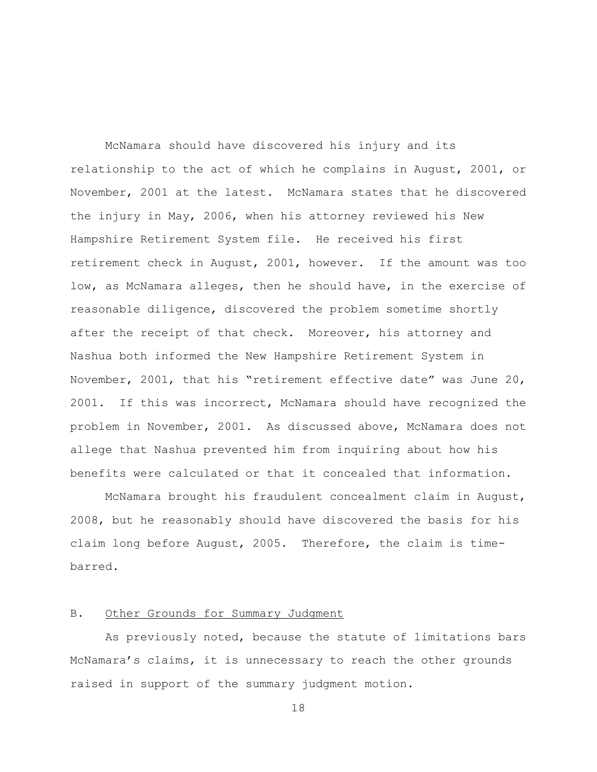McNamara should have discovered his injury and its relationship to the act of which he complains in August, 2001, or November, 2001 at the latest. McNamara states that he discovered the injury in May, 2006, when his attorney reviewed his New Hampshire Retirement System file. He received his first retirement check in August, 2001, however. If the amount was too low, as McNamara alleges, then he should have, in the exercise of reasonable diligence, discovered the problem sometime shortly after the receipt of that check. Moreover, his attorney and Nashua both informed the New Hampshire Retirement System in November, 2001, that his "retirement effective date" was June 20, 2001. If this was incorrect, McNamara should have recognized the problem in November, 2001. As discussed above, McNamara does not allege that Nashua prevented him from inquiring about how his benefits were calculated or that it concealed that information.

McNamara brought his fraudulent concealment claim in August, 2008, but he reasonably should have discovered the basis for his claim long before August, 2005. Therefore, the claim is timebarred.

# B. Other Grounds for Summary Judgment

As previously noted, because the statute of limitations bars McNamara's claims, it is unnecessary to reach the other grounds raised in support of the summary judgment motion.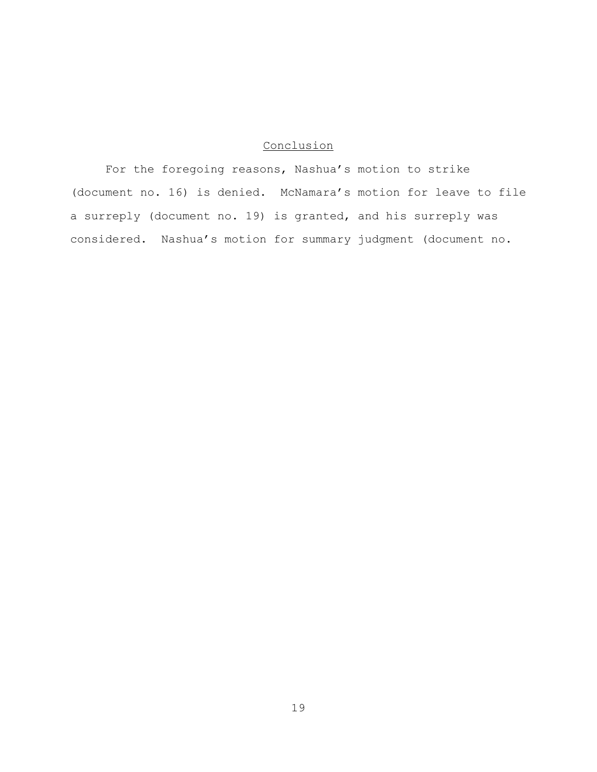# Conclusion

For the foregoing reasons, Nashua's motion to strike (document no. 16) is denied. McNamara's motion for leave to file a surreply (document no. 19) is granted, and his surreply was considered. Nashua's motion for summary judgment (document no.